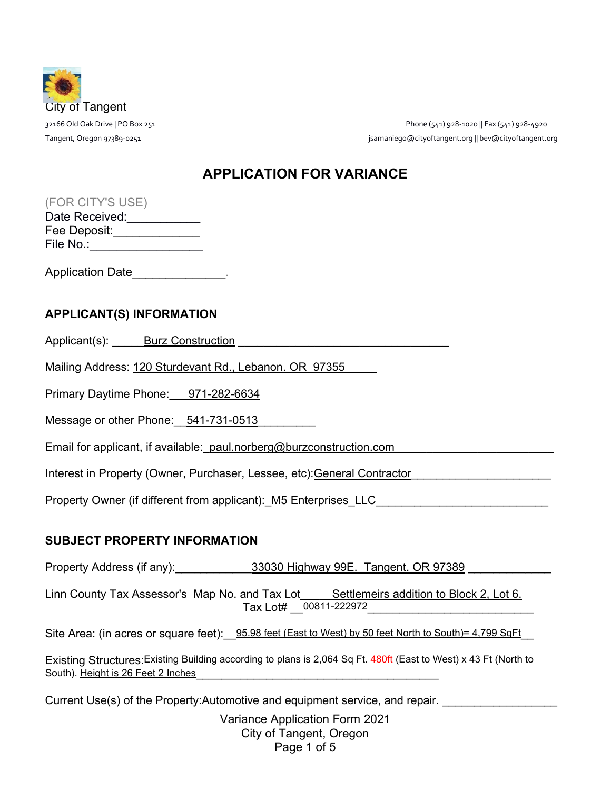

32166 Old Oak Drive | PO Box 251 Phone (541) 928-1020 || Fax (541) 928-4920 Tangent, Oregon 97389-0251 jsamaniego@cityoftangent.org || bev@cityoftangent.org

# **APPLICATION FOR VARIANCE**

| Date Received: |  |
|----------------|--|
| Fee Deposit:   |  |
| File No.:      |  |

Application Date

### **APPLICANT(S) INFORMATION**

Applicant(s): \_\_\_\_\_Burz Construction \_\_\_\_\_\_\_\_\_\_\_\_\_\_\_\_\_\_\_\_\_\_\_\_\_\_\_\_\_\_\_\_\_

Mailing Address: 120 Sturdevant Rd., Lebanon. OR 97355

Primary Daytime Phone: 971-282-6634

Message or other Phone: 541-731-0513

Email for applicant, if available:\_paul.norberg@burzconstruction.com

Interest in Property (Owner, Purchaser, Lessee, etc):General Contractor

Property Owner (if different from applicant):\_M5 Enterprises\_LLC

## **SUBJECT PROPERTY INFORMATION**

Property Address (if any): \_\_\_\_\_\_\_\_\_\_\_\_\_33030 Highway 99E. Tangent. OR 97389

Linn County Tax Assessor's Map No. and Tax Lot Settlemeirs addition to Block 2, Lot 6. Tax Lot# \_ 00811-222972

Site Area: (in acres or square feet):  $95.98$  feet (East to West) by 50 feet North to South)= 4,799 SqFt

Existing Structures: Existing Building according to plans is 2,064 Sq Ft. 480ft (East to West) x 43 Ft (North to South). Height is 26 Feet 2 Inches

Current Use(s) of the Property:Automotive and equipment service, and repair.

Variance Application Form 2021 City of Tangent, Oregon Page 1 of 5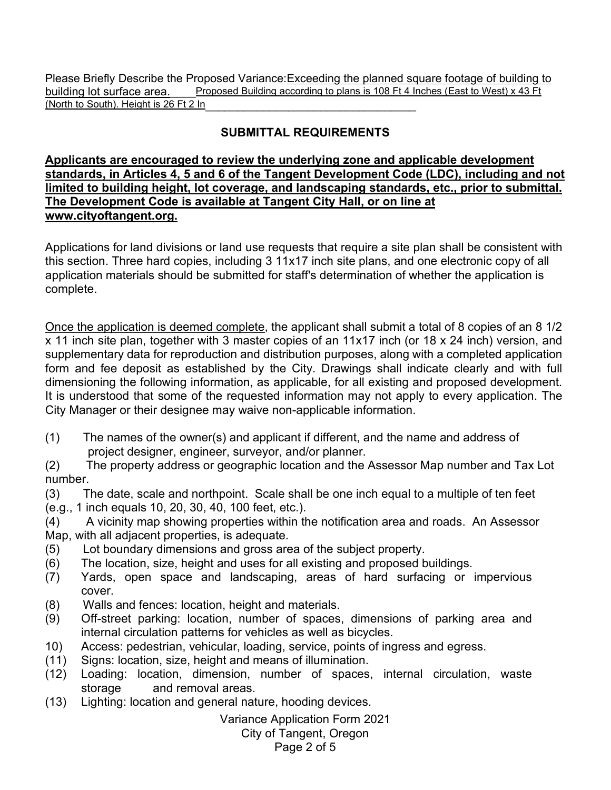Please Briefly Describe the Proposed Variance:Exceeding the planned square footage of building to building lot surface area. Proposed Building according to plans is 108 Ft 4 Inches (East to West) x 43 Ft (North to South). Height is 26 Ft 2 In

## **SUBMITTAL REQUIREMENTS**

#### **Applicants are encouraged to review the underlying zone and applicable development standards, in Articles 4, 5 and 6 of the Tangent Development Code (LDC), including and not limited to building height, lot coverage, and landscaping standards, etc., prior to submittal. The Development Code is available at Tangent City Hall, or on line at [www.cityoftangent.org.](http://www.cityoftangent.org/)**

Applications for land divisions or land use requests that require a site plan shall be consistent with this section. Three hard copies, including 3 11x17 inch site plans, and one electronic copy of all application materials should be submitted for staff's determination of whether the application is complete.

Once the application is deemed complete, the applicant shall submit a total of 8 copies of an 8 1/2 x 11 inch site plan, together with 3 master copies of an 11x17 inch (or 18 x 24 inch) version, and supplementary data for reproduction and distribution purposes, along with a completed application form and fee deposit as established by the City. Drawings shall indicate clearly and with full dimensioning the following information, as applicable, for all existing and proposed development. It is understood that some of the requested information may not apply to every application. The City Manager or their designee may waive non-applicable information.

(1) The names of the owner(s) and applicant if different, and the name and address of project designer, engineer, surveyor, and/or planner.

(2) The property address or geographic location and the Assessor Map number and Tax Lot number.

(3) The date, scale and northpoint. Scale shall be one inch equal to a multiple of ten feet (e.g., 1 inch equals 10, 20, 30, 40, 100 feet, etc.).

(4) A vicinity map showing properties within the notification area and roads. An Assessor Map, with all adjacent properties, is adequate.

- (5) Lot boundary dimensions and gross area of the subject property.
- (6) The location, size, height and uses for all existing and proposed buildings.
- (7) Yards, open space and landscaping, areas of hard surfacing or impervious cover.
- (8) Walls and fences: location, height and materials.
- (9) Off-street parking: location, number of spaces, dimensions of parking area and internal circulation patterns for vehicles as well as bicycles.
- 10) Access: pedestrian, vehicular, loading, service, points of ingress and egress.
- (11) Signs: location, size, height and means of illumination.
- (12) Loading: location, dimension, number of spaces, internal circulation, waste storage and removal areas.
- (13) Lighting: location and general nature, hooding devices.

Variance Application Form 2021

City of Tangent, Oregon

Page 2 of 5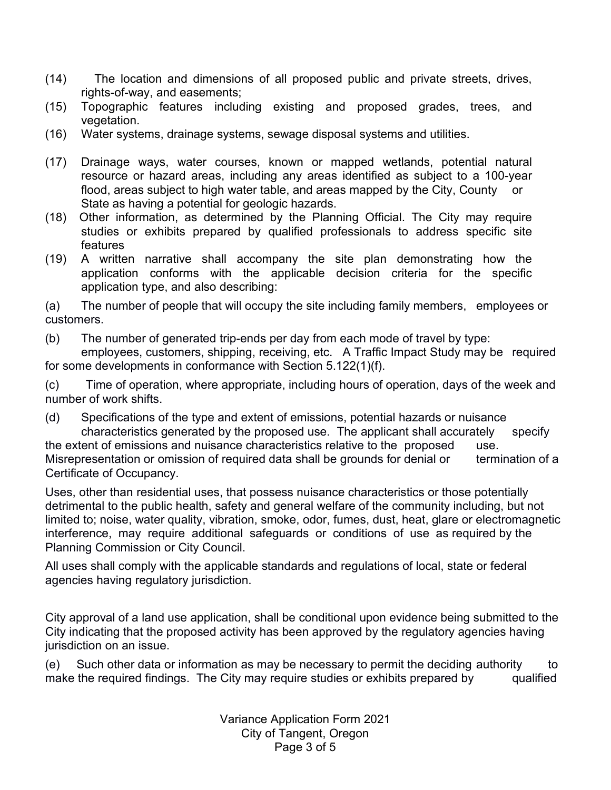- (14) The location and dimensions of all proposed public and private streets, drives, rights-of-way, and easements;
- (15) Topographic features including existing and proposed grades, trees, and vegetation.
- (16) Water systems, drainage systems, sewage disposal systems and utilities.
- (17) Drainage ways, water courses, known or mapped wetlands, potential natural resource or hazard areas, including any areas identified as subject to a 100-year flood, areas subject to high water table, and areas mapped by the City, County or State as having a potential for geologic hazards.
- (18) Other information, as determined by the Planning Official. The City may require studies or exhibits prepared by qualified professionals to address specific site features
- (19) A written narrative shall accompany the site plan demonstrating how the application conforms with the applicable decision criteria for the specific application type, and also describing:

(a) The number of people that will occupy the site including family members, employees or customers.

(b) The number of generated trip-ends per day from each mode of travel by type: employees, customers, shipping, receiving, etc. A Traffic Impact Study may be required

for some developments in conformance with Section 5.122(1)(f).

(c) Time of operation, where appropriate, including hours of operation, days of the week and number of work shifts.

(d) Specifications of the type and extent of emissions, potential hazards or nuisance characteristics generated by the proposed use. The applicant shall accurately specify the extent of emissions and nuisance characteristics relative to the proposed use. Misrepresentation or omission of required data shall be grounds for denial or termination of a Certificate of Occupancy.

Uses, other than residential uses, that possess nuisance characteristics or those potentially detrimental to the public health, safety and general welfare of the community including, but not limited to; noise, water quality, vibration, smoke, odor, fumes, dust, heat, glare or electromagnetic interference, may require additional safeguards or conditions of use as required by the Planning Commission or City Council.

All uses shall comply with the applicable standards and regulations of local, state or federal agencies having regulatory jurisdiction.

City approval of a land use application, shall be conditional upon evidence being submitted to the City indicating that the proposed activity has been approved by the regulatory agencies having jurisdiction on an issue.

(e) Such other data or information as may be necessary to permit the deciding authority to make the required findings. The City may require studies or exhibits prepared by qualified

> Variance Application Form 2021 City of Tangent, Oregon Page 3 of 5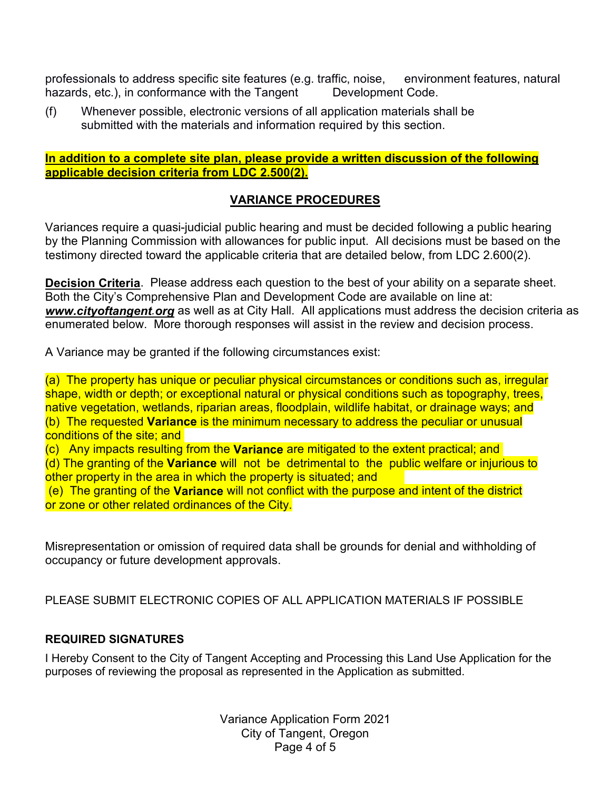professionals to address specific site features (e.g. traffic, noise, environment features, natural hazards, etc.), in conformance with the Tangent Development Code.

(f) Whenever possible, electronic versions of all application materials shall be submitted with the materials and information required by this section.

#### **In addition to a complete site plan, please provide a written discussion of the following applicable decision criteria from LDC 2.500(2).**

### **VARIANCE PROCEDURES**

Variances require a quasi-judicial public hearing and must be decided following a public hearing by the Planning Commission with allowances for public input. All decisions must be based on the testimony directed toward the applicable criteria that are detailed below, from LDC 2.600(2).

**Decision Criteria**. Please address each question to the best of your ability on a separate sheet. Both the City's Comprehensive Plan and Development Code are available on line at: *www.cityoftangent.org* as well as at City Hall. All applications must address the decision criteria as enumerated below. More thorough responses will assist in the review and decision process.

A Variance may be granted if the following circumstances exist:

(a) The property has unique or peculiar physical circumstances or conditions such as, irregular shape, width or depth; or exceptional natural or physical conditions such as topography, trees, native vegetation, wetlands, riparian areas, floodplain, wildlife habitat, or drainage ways; and (b) The requested **Variance** is the minimum necessary to address the peculiar or unusual conditions of the site; and

(c) Any impacts resulting from the **Variance** are mitigated to the extent practical; and (d) The granting of the **Variance** will not be detrimental to the public welfare or injurious to other property in the area in which the property is situated; and

(e) The granting of the **Variance** will not conflict with the purpose and intent of the district or zone or other related ordinances of the City.

Misrepresentation or omission of required data shall be grounds for denial and withholding of occupancy or future development approvals.

PLEASE SUBMIT ELECTRONIC COPIES OF ALL APPLICATION MATERIALS IF POSSIBLE

### **REQUIRED SIGNATURES**

I Hereby Consent to the City of Tangent Accepting and Processing this Land Use Application for the purposes of reviewing the proposal as represented in the Application as submitted.

> Variance Application Form 2021 City of Tangent, Oregon Page 4 of 5